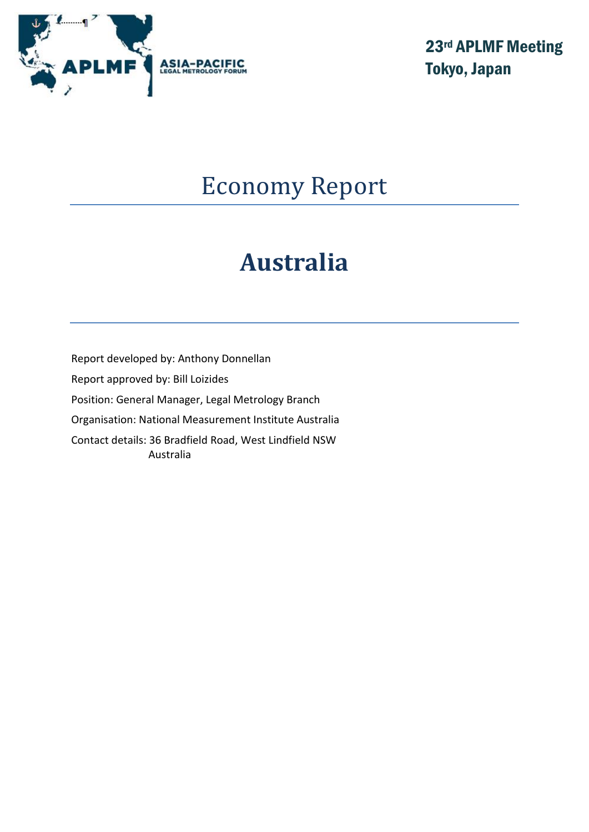

23rd APLMF Meeting Tokyo, Japan

# Economy Report

# **Australia**

Report developed by: Anthony Donnellan Report approved by: Bill Loizides Position: General Manager, Legal Metrology Branch Organisation: National Measurement Institute Australia Contact details: 36 Bradfield Road, West Lindfield NSW Australia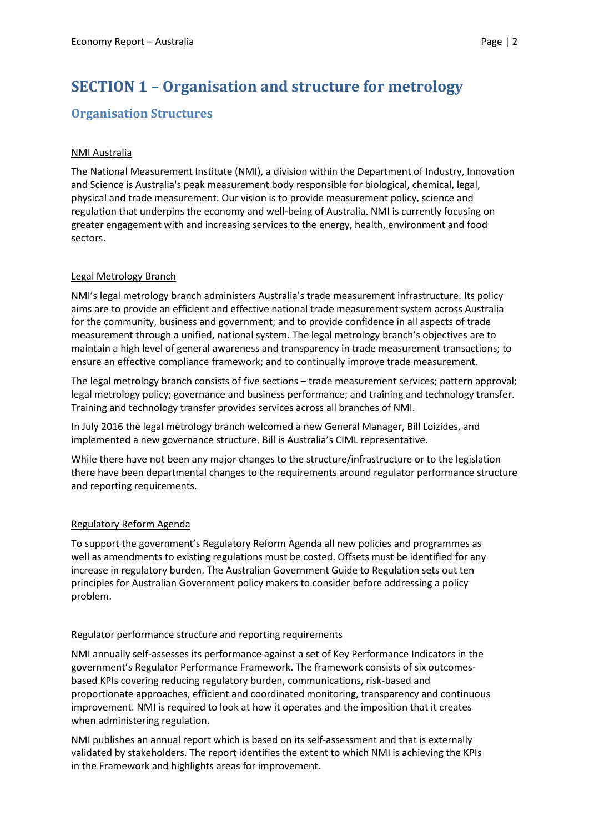# **SECTION 1 – Organisation and structure for metrology**

## **Organisation Structures**

#### NMI Australia

The National Measurement Institute (NMI), a division within the Department of Industry, Innovation and Science is Australia's peak measurement body responsible for biological, chemical, legal, physical and trade measurement. Our vision is to provide measurement policy, science and regulation that underpins the economy and well-being of Australia. NMI is currently focusing on greater engagement with and increasing services to the energy, health, environment and food sectors.

#### Legal Metrology Branch

NMI's legal metrology branch administers Australia's trade measurement infrastructure. Its policy aims are to provide an efficient and effective national trade measurement system across Australia for the community, business and government; and to provide confidence in all aspects of trade measurement through a unified, national system. The legal metrology branch's objectives are to maintain a high level of general awareness and transparency in trade measurement transactions; to ensure an effective compliance framework; and to continually improve trade measurement.

The legal metrology branch consists of five sections – trade measurement services; pattern approval; legal metrology policy; governance and business performance; and training and technology transfer. Training and technology transfer provides services across all branches of NMI.

In July 2016 the legal metrology branch welcomed a new General Manager, Bill Loizides, and implemented a new governance structure. Bill is Australia's CIML representative.

While there have not been any major changes to the structure/infrastructure or to the legislation there have been departmental changes to the requirements around regulator performance structure and reporting requirements.

#### Regulatory Reform Agenda

To support the government's Regulatory Reform Agenda all new policies and programmes as well as amendments to existing regulations must be costed. Offsets must be identified for any increase in regulatory burden. The Australian Government Guide to Regulation sets out ten principles for Australian Government policy makers to consider before addressing a policy problem.

#### Regulator performance structure and reporting requirements

NMI annually self-assesses its performance against a set of Key Performance Indicators in the government's Regulator Performance Framework. The framework consists of six outcomesbased KPIs covering reducing regulatory burden, communications, risk-based and proportionate approaches, efficient and coordinated monitoring, transparency and continuous improvement. NMI is required to look at how it operates and the imposition that it creates when administering regulation.

NMI publishes an annual report which is based on its self-assessment and that is externally validated by stakeholders. The report identifies the extent to which NMI is achieving the KPIs in the Framework and highlights areas for improvement.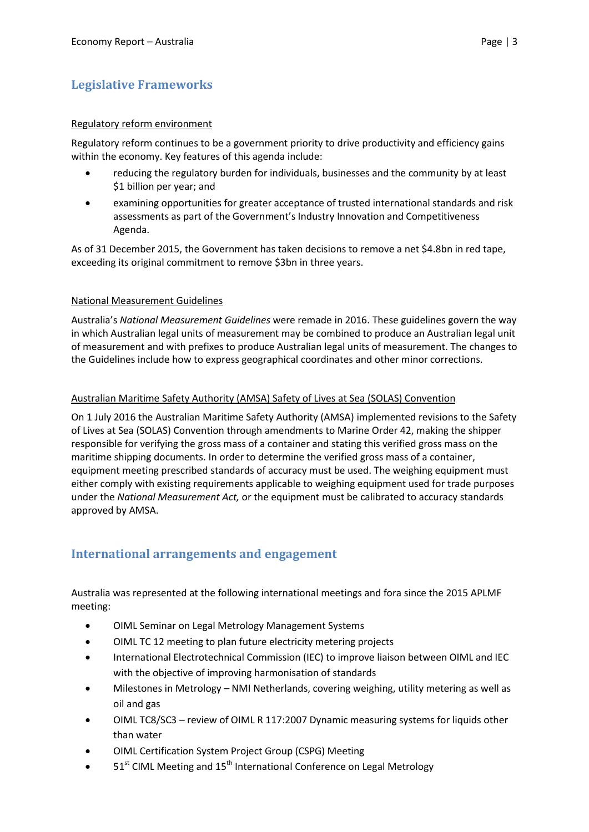# **Legislative Frameworks**

#### Regulatory reform environment

Regulatory reform continues to be a government priority to drive productivity and efficiency gains within the economy. Key features of this agenda include:

- reducing the regulatory burden for individuals, businesses and the community by at least \$1 billion per year; and
- examining opportunities for greater acceptance of trusted international standards and risk assessments as part of the Government's Industry Innovation and Competitiveness Agenda.

As of 31 December 2015, the Government has taken decisions to remove a net \$4.8bn in red tape, exceeding its original commitment to remove \$3bn in three years.

#### National Measurement Guidelines

Australia's *National Measurement Guidelines* were remade in 2016. These guidelines govern the way in which Australian legal units of measurement may be combined to produce an Australian legal unit of measurement and with prefixes to produce Australian legal units of measurement. The changes to the Guidelines include how to express geographical coordinates and other minor corrections.

#### Australian Maritime Safety Authority (AMSA) Safety of Lives at Sea (SOLAS) Convention

On 1 July 2016 the Australian Maritime Safety Authority (AMSA) implemented revisions to the Safety of Lives at Sea (SOLAS) Convention through amendments to Marine Order 42, making the shipper responsible for verifying the gross mass of a container and stating this verified gross mass on the maritime shipping documents. In order to determine the verified gross mass of a container, equipment meeting prescribed standards of accuracy must be used. The weighing equipment must either comply with existing requirements applicable to weighing equipment used for trade purposes under the *National Measurement Act,* or the equipment must be calibrated to accuracy standards approved by AMSA.

## **International arrangements and engagement**

Australia was represented at the following international meetings and fora since the 2015 APLMF meeting:

- OIML Seminar on Legal Metrology Management Systems
- OIML TC 12 meeting to plan future electricity metering projects
- International Electrotechnical Commission (IEC) to improve liaison between OIML and IEC with the objective of improving harmonisation of standards
- Milestones in Metrology NMI Netherlands, covering weighing, utility metering as well as oil and gas
- OIML TC8/SC3 review of OIML R 117:2007 Dynamic measuring systems for liquids other than water
- OIML Certification System Project Group (CSPG) Meeting
- 51<sup>st</sup> CIML Meeting and 15<sup>th</sup> International Conference on Legal Metrology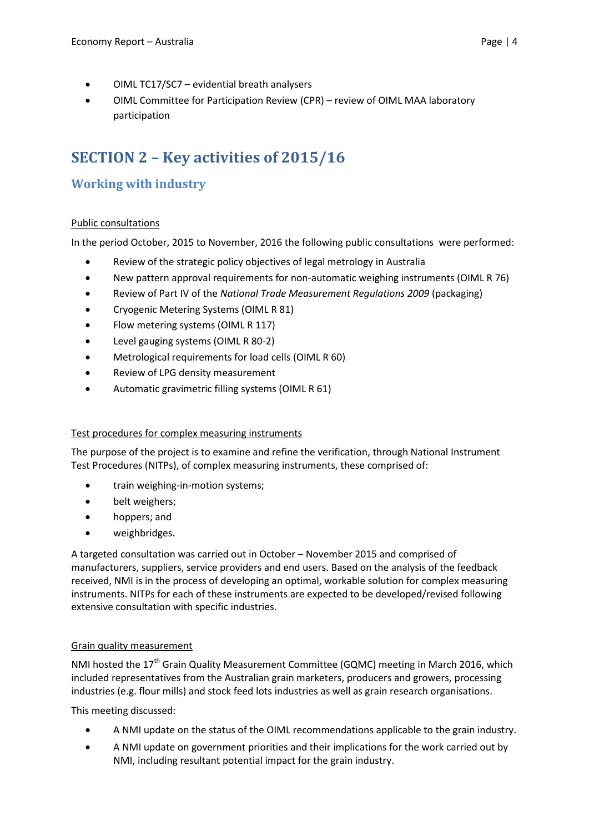- OIML TC17/SC7 evidential breath analysers
- OIML Committee for Participation Review (CPR) review of OIML MAA laboratory participation

# **SECTION 2 – Key activities of 2015/16**

# **Working with industry**

#### Public consultations

In the period October, 2015 to November, 2016 the following public consultations were performed:

- Review of the strategic policy objectives of legal metrology in Australia
- New pattern approval requirements for non-automatic weighing instruments (OIML R 76)
- Review of Part IV of the *National Trade Measurement Regulations 2009* (packaging)
- Cryogenic Metering Systems (OIML R 81)
- Flow metering systems (OIML R 117)
- Level gauging systems (OIML R 80-2)
- Metrological requirements for load cells (OIML R 60)
- Review of LPG density measurement
- Automatic gravimetric filling systems (OIML R 61)

#### Test procedures for complex measuring instruments

The purpose of the project is to examine and refine the verification, through National Instrument Test Procedures (NITPs), of complex measuring instruments, these comprised of:

- train weighing-in-motion systems;
- belt weighers;
- hoppers; and
- weighbridges.

A targeted consultation was carried out in October – November 2015 and comprised of manufacturers, suppliers, service providers and end users. Based on the analysis of the feedback received, NMI is in the process of developing an optimal, workable solution for complex measuring instruments. NITPs for each of these instruments are expected to be developed/revised following extensive consultation with specific industries.

#### Grain quality measurement

NMI hosted the 17<sup>th</sup> Grain Quality Measurement Committee (GQMC) meeting in March 2016, which included representatives from the Australian grain marketers, producers and growers, processing industries (e.g. flour mills) and stock feed lots industries as well as grain research organisations.

This meeting discussed:

- A NMI update on the status of the OIML recommendations applicable to the grain industry.
- A NMI update on government priorities and their implications for the work carried out by NMI, including resultant potential impact for the grain industry.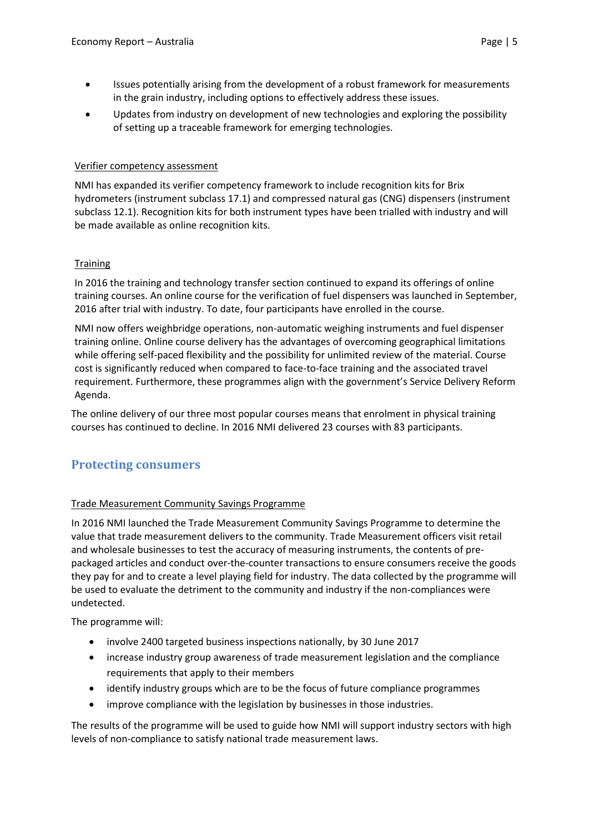- Issues potentially arising from the development of a robust framework for measurements in the grain industry, including options to effectively address these issues.
- Updates from industry on development of new technologies and exploring the possibility of setting up a traceable framework for emerging technologies.

#### Verifier competency assessment

NMI has expanded its verifier competency framework to include recognition kits for Brix hydrometers (instrument subclass 17.1) and compressed natural gas (CNG) dispensers (instrument subclass 12.1). Recognition kits for both instrument types have been trialled with industry and will be made available as online recognition kits.

#### **Training**

In 2016 the training and technology transfer section continued to expand its offerings of online training courses. An online course for the verification of fuel dispensers was launched in September, 2016 after trial with industry. To date, four participants have enrolled in the course.

NMI now offers weighbridge operations, non-automatic weighing instruments and fuel dispenser training online. Online course delivery has the advantages of overcoming geographical limitations while offering self-paced flexibility and the possibility for unlimited review of the material. Course cost is significantly reduced when compared to face-to-face training and the associated travel requirement. Furthermore, these programmes align with the government's Service Delivery Reform Agenda.

The online delivery of our three most popular courses means that enrolment in physical training courses has continued to decline. In 2016 NMI delivered 23 courses with 83 participants.

## **Protecting consumers**

#### Trade Measurement Community Savings Programme

In 2016 NMI launched the Trade Measurement Community Savings Programme to determine the value that trade measurement delivers to the community. Trade Measurement officers visit retail and wholesale businesses to test the accuracy of measuring instruments, the contents of prepackaged articles and conduct over-the-counter transactions to ensure consumers receive the goods they pay for and to create a level playing field for industry. The data collected by the programme will be used to evaluate the detriment to the community and industry if the non-compliances were undetected.

The programme will:

- involve 2400 targeted business inspections nationally, by 30 June 2017
- increase industry group awareness of trade measurement legislation and the compliance requirements that apply to their members
- identify industry groups which are to be the focus of future compliance programmes
- improve compliance with the legislation by businesses in those industries.

The results of the programme will be used to guide how NMI will support industry sectors with high levels of non-compliance to satisfy national trade measurement laws.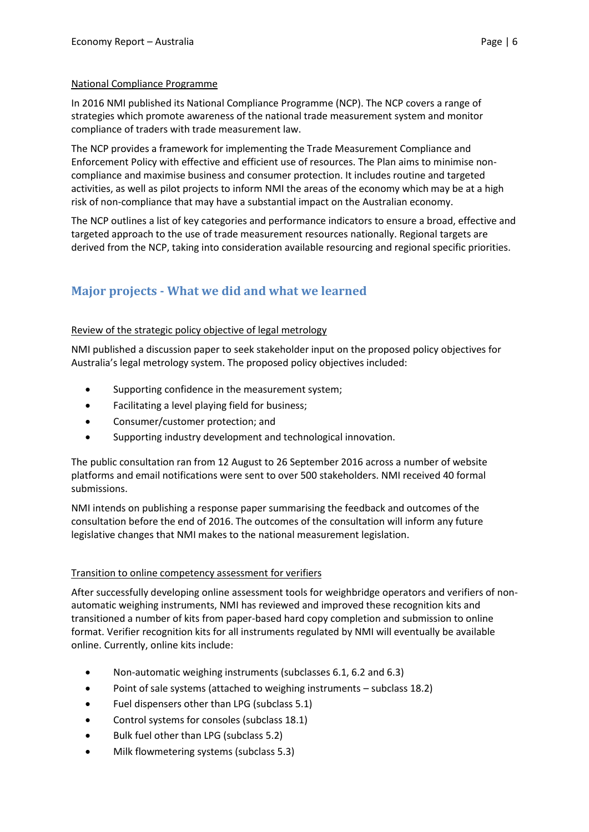#### National Compliance Programme

In 2016 NMI published its National Compliance Programme (NCP). The NCP covers a range of strategies which promote awareness of the national trade measurement system and monitor compliance of traders with trade measurement law.

The NCP provides a framework for implementing the Trade Measurement Compliance and Enforcement Policy with effective and efficient use of resources. The Plan aims to minimise noncompliance and maximise business and consumer protection. It includes routine and targeted activities, as well as pilot projects to inform NMI the areas of the economy which may be at a high risk of non-compliance that may have a substantial impact on the Australian economy.

The NCP outlines a list of key categories and performance indicators to ensure a broad, effective and targeted approach to the use of trade measurement resources nationally. Regional targets are derived from the NCP, taking into consideration available resourcing and regional specific priorities.

# **Major projects - What we did and what we learned**

#### Review of the strategic policy objective of legal metrology

NMI published a discussion paper to seek stakeholder input on the proposed policy objectives for Australia's legal metrology system. The proposed policy objectives included:

- Supporting confidence in the measurement system;
- Facilitating a level playing field for business;
- Consumer/customer protection; and
- Supporting industry development and technological innovation.

The public consultation ran from 12 August to 26 September 2016 across a number of website platforms and email notifications were sent to over 500 stakeholders. NMI received 40 formal submissions.

NMI intends on publishing a response paper summarising the feedback and outcomes of the consultation before the end of 2016. The outcomes of the consultation will inform any future legislative changes that NMI makes to the national measurement legislation.

#### Transition to online competency assessment for verifiers

After successfully developing online assessment tools for weighbridge operators and verifiers of nonautomatic weighing instruments, NMI has reviewed and improved these recognition kits and transitioned a number of kits from paper-based hard copy completion and submission to online format. Verifier recognition kits for all instruments regulated by NMI will eventually be available online. Currently, online kits include:

- Non-automatic weighing instruments (subclasses 6.1, 6.2 and 6.3)
- Point of sale systems (attached to weighing instruments subclass 18.2)
- Fuel dispensers other than LPG (subclass 5.1)
- Control systems for consoles (subclass 18.1)
- Bulk fuel other than LPG (subclass 5.2)
- Milk flowmetering systems (subclass 5.3)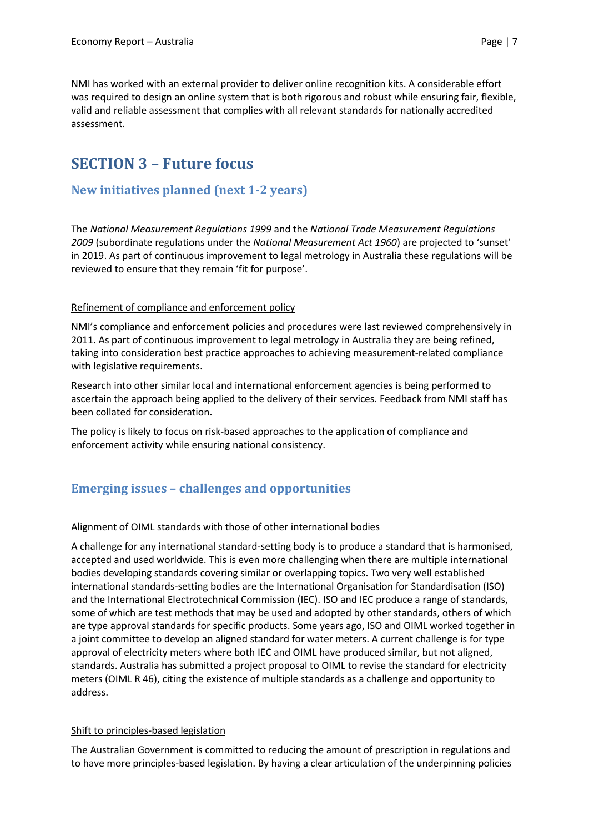NMI has worked with an external provider to deliver online recognition kits. A considerable effort was required to design an online system that is both rigorous and robust while ensuring fair, flexible, valid and reliable assessment that complies with all relevant standards for nationally accredited assessment.

# **SECTION 3 – Future focus**

### **New initiatives planned (next 1-2 years)**

The *National Measurement Regulations 1999* and the *National Trade Measurement Regulations 2009* (subordinate regulations under the *National Measurement Act 1960*) are projected to 'sunset' in 2019. As part of continuous improvement to legal metrology in Australia these regulations will be reviewed to ensure that they remain 'fit for purpose'.

#### Refinement of compliance and enforcement policy

NMI's compliance and enforcement policies and procedures were last reviewed comprehensively in 2011. As part of continuous improvement to legal metrology in Australia they are being refined, taking into consideration best practice approaches to achieving measurement-related compliance with legislative requirements.

Research into other similar local and international enforcement agencies is being performed to ascertain the approach being applied to the delivery of their services. Feedback from NMI staff has been collated for consideration.

The policy is likely to focus on risk-based approaches to the application of compliance and enforcement activity while ensuring national consistency.

## **Emerging issues – challenges and opportunities**

#### Alignment of OIML standards with those of other international bodies

A challenge for any international standard-setting body is to produce a standard that is harmonised, accepted and used worldwide. This is even more challenging when there are multiple international bodies developing standards covering similar or overlapping topics. Two very well established international standards-setting bodies are the International Organisation for Standardisation (ISO) and the International Electrotechnical Commission (IEC). ISO and IEC produce a range of standards, some of which are test methods that may be used and adopted by other standards, others of which are type approval standards for specific products. Some years ago, ISO and OIML worked together in a joint committee to develop an aligned standard for water meters. A current challenge is for type approval of electricity meters where both IEC and OIML have produced similar, but not aligned, standards. Australia has submitted a project proposal to OIML to revise the standard for electricity meters (OIML R 46), citing the existence of multiple standards as a challenge and opportunity to address.

#### Shift to principles-based legislation

The Australian Government is committed to reducing the amount of prescription in regulations and to have more principles-based legislation. By having a clear articulation of the underpinning policies